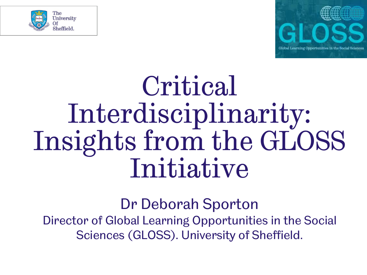



# Critical Interdisciplinarity: Insights from the GLOSS Initiative

Dr Deborah Sporton Director of Global Learning Opportunities in the Social Sciences (GLOSS). University of Sheffield.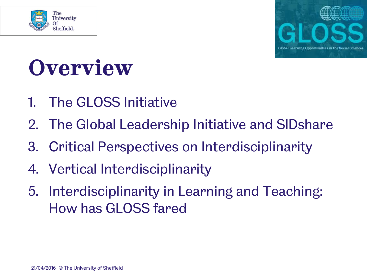



# **Overview**

- 1. The GLOSS Initiative
- 2. The Global Leadership Initiative and SIDshare
- 3. Critical Perspectives on Interdisciplinarity
- 4. Vertical Interdisciplinarity
- 5. Interdisciplinarity in Learning and Teaching: How has GLOSS fared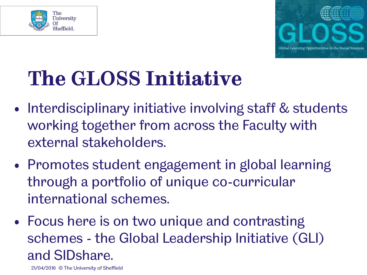



## **The GLOSS Initiative**

- Interdisciplinary initiative involving staff & students working together from across the Faculty with external stakeholders.
- Promotes student engagement in global learning through a portfolio of unique co-curricular international schemes.
- Focus here is on two unique and contrasting schemes - the Global Leadership Initiative (GLI) and SIDshare.

21/04/2016 © The University of Sheffield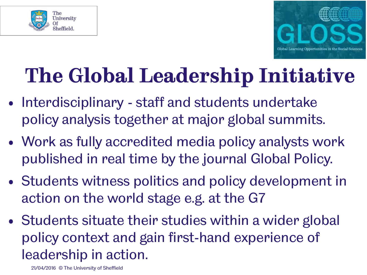



## **The Global Leadership Initiative**

- Interdisciplinary staff and students undertake policy analysis together at major global summits.
- Work as fully accredited media policy analysts work published in real time by the journal Global Policy.
- Students witness politics and policy development in action on the world stage e.g. at the G7
- Students situate their studies within a wider global policy context and gain first-hand experience of leadership in action.

21/04/2016 © The University of Sheffield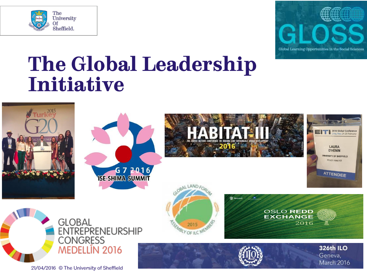



#### **The Global Leadership Initiative**

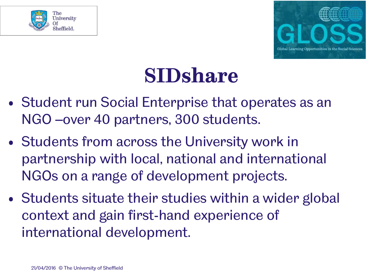



## **SIDshare**

- Student run Social Enterprise that operates as an NGO –over 40 partners, 300 students.
- Students from across the University work in partnership with local, national and international NGOs on a range of development projects.
- Students situate their studies within a wider global context and gain first-hand experience of international development.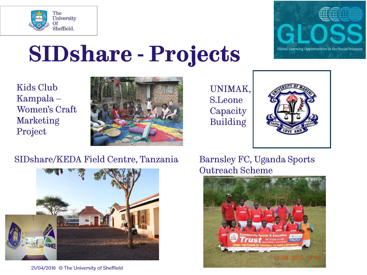



Kids Club Kampala – Women's Craft Marketing Project



UNIMAK, S.Leone Capacity Building



#### SIDshare/KEDA Field Centre, Tanzania



21/04/2016 © The University of Sheffield

Barnsley FC, Uganda Sports Outreach Scheme

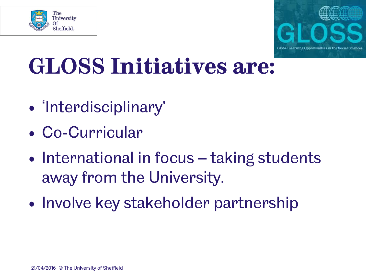



## **GLOSS Initiatives are:**

- 'Interdisciplinary'
- Co-Curricular
- International in focus taking students away from the University.
- Involve key stakeholder partnership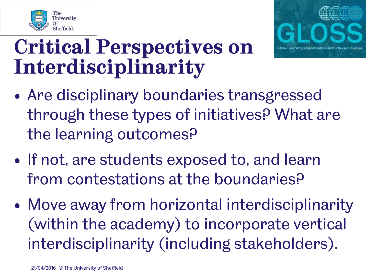



## **Critical Perspectives on Interdisciplinarity**

- Are disciplinary boundaries transgressed through these types of initiatives? What are the learning outcomes?
- If not, are students exposed to, and learn from contestations at the boundaries?
- Move away from horizontal interdisciplinarity (within the academy) to incorporate vertical interdisciplinarity (including stakeholders).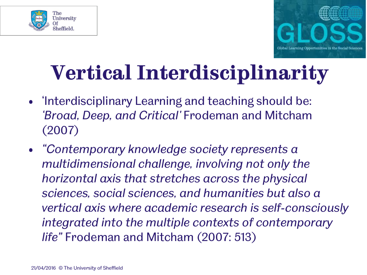



## **Vertical Interdisciplinarity**

- 'Interdisciplinary Learning and teaching should be: *'Broad, Deep, and Critical'* Frodeman and Mitcham (2007)
- *"Contemporary knowledge society represents a multidimensional challenge, involving not only the horizontal axis that stretches across the physical sciences, social sciences, and humanities but also a vertical axis where academic research is self-consciously integrated into the multiple contexts of contemporary life"* Frodeman and Mitcham (2007: 513)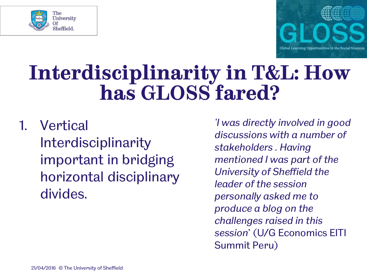



#### **Interdisciplinarity in T&L: How has GLOSS fared?**

1. Vertical **Interdisciplinarity** important in bridging horizontal disciplinary divides.

*'I was directly involved in good discussions with a number of stakeholders . Having mentioned I was part of the University of Sheffield the leader of the session personally asked me to produce a blog on the challenges raised in this session*' (U/G Economics EITI Summit Peru)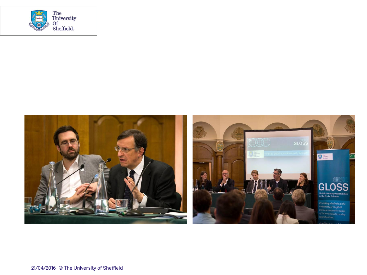

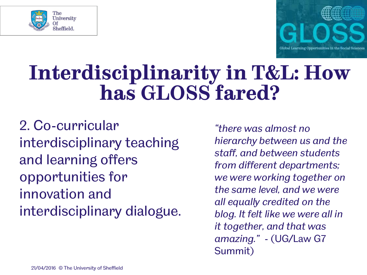



#### **Interdisciplinarity in T&L: How has GLOSS fared?**

2. Co-curricular interdisciplinary teaching and learning offers opportunities for innovation and interdisciplinary dialogue.

*"there was almost no hierarchy between us and the staff, and between students from different departments; we were working together on the same level, and we were all equally credited on the blog. It felt like we were all in it together, and that was amazing."* - (UG/Law G7 Summit)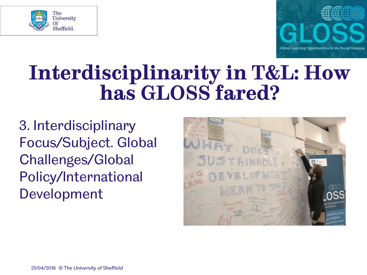



### **Interdisciplinarity in T&L: How has GLOSS fared?**

3. Interdisciplinary Focus/Subject. Global Challenges/Global Policy/International Development